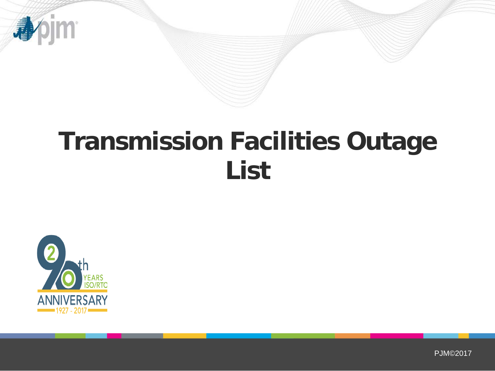

# **Transmission Facilities Outage List**



PJM©2017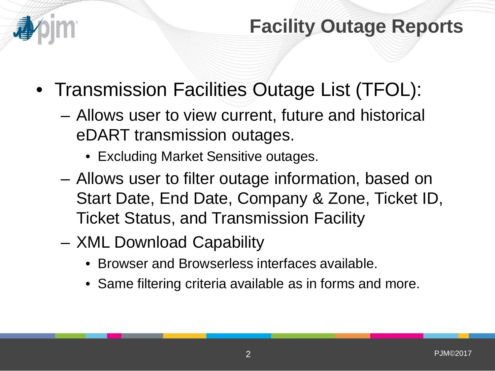

#### **Facility Outage Reports**

- Transmission Facilities Outage List (TFOL):
	- Allows user to view current, future and historical eDART transmission outages.
		- Excluding Market Sensitive outages.
	- Allows user to filter outage information, based on Start Date, End Date, Company & Zone, Ticket ID, Ticket Status, and Transmission Facility
	- XML Download Capability
		- Browser and Browserless interfaces available.
		- Same filtering criteria available as in forms and more.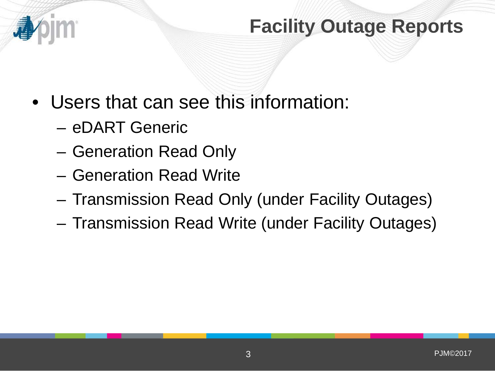

#### **Facility Outage Reports**

- Users that can see this information:
	- eDART Generic
	- Generation Read Only
	- Generation Read Write
	- Transmission Read Only (under Facility Outages)
	- Transmission Read Write (under Facility Outages)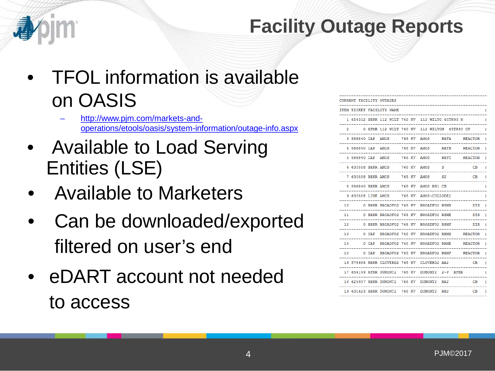#### **Facility Outage Reports**

- TFOL information is available on OASIS
	- [http://www.pjm.com/markets-and](http://www.pjm.com/markets-and-operations/etools/oasis/system-information/outage-info.aspx)[operations/etools/oasis/system-information/outage-info.aspx](http://www.pjm.com/markets-and-operations/etools/oasis/system-information/outage-info.aspx)
- Available to Load Serving Entities (LSE)
- Available to Marketers
- Can be downloaded/exported filtered on user's end
- eDART account not needed to access

|                |                    |       | <b>CURRENT FACILITY OUTAGES</b> |  |                                                  |                 |                          |
|----------------|--------------------|-------|---------------------------------|--|--------------------------------------------------|-----------------|--------------------------|
|                |                    |       | ITEM TICKET FACILITY NAME       |  |                                                  |                 |                          |
|                |                    |       |                                 |  | 1 654312 BRKR 112 WILT 765 KV 112 WILTO 65TR93 M |                 |                          |
| $\overline{2}$ |                    |       |                                 |  | 0 XFMR 112 WILT 765 KV 112 WILTON 65TR93 CT      |                 |                          |
|                | 3 586840 CAP AMOS  |       |                                 |  | 765 KV AMOS                                      | <b>RXFA</b>     | <b>REACTOR</b>           |
|                | 4 586840 CAP AMOS  |       |                                 |  | 765 KV AMOS                                      | <b>RXFB</b>     | <b>REACTOR</b>           |
|                | 5 586840 CAP AMOS  |       |                                 |  |                                                  |                 | 765 KV AMOS RXFC REACTOR |
|                | 6 630558 BRKR AMOS |       |                                 |  | 765 KV AMOS                                      | - 5             | CВ                       |
|                |                    |       |                                 |  |                                                  | S <sub>2</sub>  | CВ                       |
|                | 8 586840 BRKR AMOS |       |                                 |  | 765 KV AMOS RB1 CB                               |                 |                          |
|                |                    |       | 9 630558 LINE AMOS 765 KV       |  | AMOS-CULLODE2                                    |                 |                          |
| 10             |                    |       |                                 |  | 0 BRKR BROADFO2 765 KV BROADFO2 RSMD             |                 | <b>DIS</b>               |
| 11             |                    |       |                                 |  | 0 BRKR BROADFO2 765 KV BROADFO2 RSME             |                 | DIS                      |
| 12             |                    |       | 0 BRKR BROADFO2 765 KV          |  | <b>BROADFO2 RSMF</b>                             |                 | <b>DIS</b>               |
| 13             |                    | 0 CAP |                                 |  | BROADFO2 765 KV BROADFO2 RXMD                    |                 | <b>REACTOR</b>           |
| 14             |                    |       |                                 |  | 0 CAP BROADFO2 765 KV BROADFO2 RXME              |                 | <b>REACTOR</b>           |
| 1.5            |                    |       |                                 |  | 0 CAP BROADFO2 765 KV BROADFO2 RXMF              |                 | <b>REACTOR</b>           |
|                |                    |       |                                 |  | 16 578688 BRKR CLOVERD2 765 KV CLOVERD2 AA2      |                 | CВ                       |
|                |                    |       | 17 654149 XFMR DUMONT2 765 KV   |  | DUMONT2 2-P XFMR                                 |                 |                          |
|                |                    |       | 18 625937 BRKR DUMONT2 765 KV   |  | DUMONT <sub>2</sub>                              | RA <sub>2</sub> | CВ                       |
|                |                    |       |                                 |  | 19 631623 BRKR DUMONT2 765 KV DUMONT2 RB2        |                 | CB                       |
|                |                    |       |                                 |  |                                                  |                 |                          |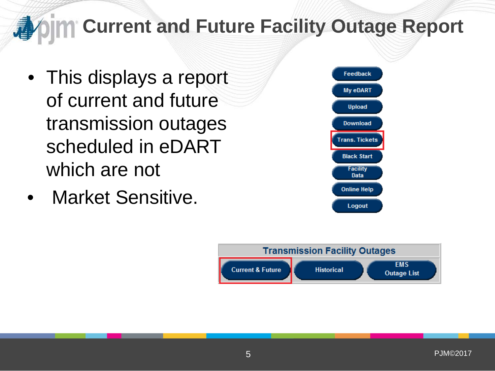# **Current and Future Facility Outage Report**

- This displays a report of current and future transmission outages scheduled in eDART which are not
- Market Sensitive.



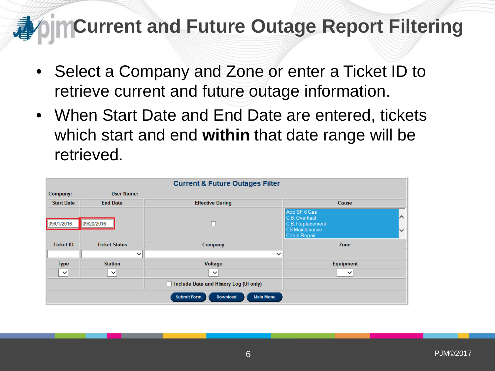- Select a Company and Zone or enter a Ticket ID to retrieve current and future outage information.
- When Start Date and End Date are entered, tickets which start and end **within** that date range will be retrieved.

| <b>Current &amp; Future Outages Filter</b>                |                      |                                               |                                                                                                                      |  |  |  |  |  |
|-----------------------------------------------------------|----------------------|-----------------------------------------------|----------------------------------------------------------------------------------------------------------------------|--|--|--|--|--|
| Company:                                                  | <b>User Name:</b>    |                                               |                                                                                                                      |  |  |  |  |  |
| <b>Start Date</b>                                         | <b>End Date</b>      | <b>Effective During</b>                       | Cause                                                                                                                |  |  |  |  |  |
| 09/01/2016                                                | 09/20/2016           | г                                             | Add SF-6 Gas<br>$\sim$<br>C.B. Overhaul<br>C.B. Replacement<br><b>CB Maintenance</b><br>$\checkmark$<br>Cable Repair |  |  |  |  |  |
| <b>Ticket ID</b>                                          | <b>Ticket Status</b> | Company                                       | Zone                                                                                                                 |  |  |  |  |  |
|                                                           | $\checkmark$         | $\checkmark$                                  |                                                                                                                      |  |  |  |  |  |
| <b>Type</b>                                               | <b>Station</b>       | Voltage                                       | Equipment                                                                                                            |  |  |  |  |  |
| $\vee$                                                    | $\checkmark$         | $\checkmark$                                  | $\checkmark$                                                                                                         |  |  |  |  |  |
|                                                           |                      | Include Date and History Log (UI only)<br>- 1 |                                                                                                                      |  |  |  |  |  |
| <b>Main Menu</b><br><b>Submit Form</b><br><b>Download</b> |                      |                                               |                                                                                                                      |  |  |  |  |  |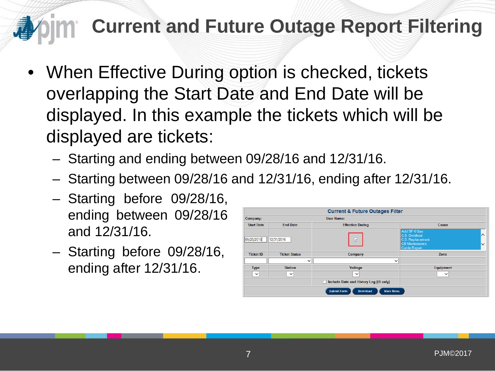- When Effective During option is checked, tickets overlapping the Start Date and End Date will be displayed. In this example the tickets which will be displayed are tickets:
	- Starting and ending between 09/28/16 and 12/31/16.
	- Starting between 09/28/16 and 12/31/16, ending after 12/31/16.
	- Starting before 09/28/16, ending between 09/28/16 and 12/31/16.
	- Starting before 09/28/16, ending after 12/31/16.

| <b>Current &amp; Future Outages Filter</b> |                      |                                                           |                                                                                                                                |  |  |  |  |  |
|--------------------------------------------|----------------------|-----------------------------------------------------------|--------------------------------------------------------------------------------------------------------------------------------|--|--|--|--|--|
| User Name:<br>Company:                     |                      |                                                           |                                                                                                                                |  |  |  |  |  |
| <b>Start Date</b>                          | <b>Fnd Date</b>      | <b>Effective During</b>                                   | Cause                                                                                                                          |  |  |  |  |  |
| 09/28/2016                                 | 12/31/2016           | ⊽                                                         | Add SF-6 Gas<br>$\triangleright$<br>C.B. Overhaul<br>C.B. Replacement<br>$\checkmark$<br><b>CB</b> Maintenance<br>Cable Repair |  |  |  |  |  |
| <b>Ticket ID</b>                           | <b>Ticket Status</b> | Company                                                   | Zone                                                                                                                           |  |  |  |  |  |
|                                            | $\checkmark$         | $\check{ }$                                               |                                                                                                                                |  |  |  |  |  |
| <b>Type</b>                                | <b>Station</b>       | <b>Voltage</b>                                            | Equipment                                                                                                                      |  |  |  |  |  |
| $\checkmark$                               | $\checkmark$         | $\checkmark$                                              | $\check{ }$                                                                                                                    |  |  |  |  |  |
|                                            |                      | Include Date and History Log (UI only)                    |                                                                                                                                |  |  |  |  |  |
|                                            |                      | <b>Submit Form</b><br><b>Main Menu</b><br><b>Download</b> |                                                                                                                                |  |  |  |  |  |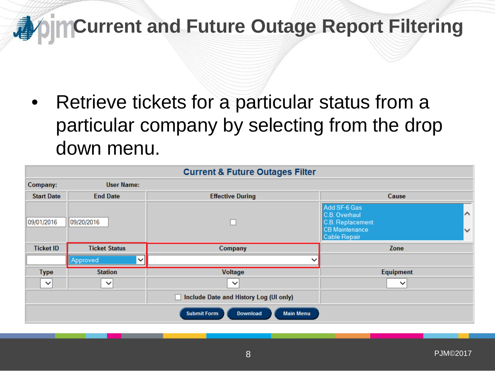Retrieve tickets for a particular status from a particular company by selecting from the drop down menu.

| <b>Current &amp; Future Outages Filter</b>                |                          |                         |                                                                                                                     |  |  |  |  |  |
|-----------------------------------------------------------|--------------------------|-------------------------|---------------------------------------------------------------------------------------------------------------------|--|--|--|--|--|
| Company:                                                  | <b>User Name:</b>        |                         |                                                                                                                     |  |  |  |  |  |
| <b>Start Date</b>                                         | <b>End Date</b>          | <b>Effective During</b> | Cause                                                                                                               |  |  |  |  |  |
| 09/01/2016                                                | 09/20/2016               |                         | Add SF-6 Gas<br>$\triangleright$<br>C.B. Overhaul<br>C.B. Replacement<br><b>CB</b> Maintenance<br>V<br>Cable Repair |  |  |  |  |  |
| <b>Ticket ID</b>                                          | <b>Ticket Status</b>     | Company                 | Zone                                                                                                                |  |  |  |  |  |
|                                                           | Approved<br>$\checkmark$ | ◡                       |                                                                                                                     |  |  |  |  |  |
| <b>Type</b>                                               | <b>Station</b>           | <b>Voltage</b>          | Equipment                                                                                                           |  |  |  |  |  |
| $\checkmark$                                              | $\checkmark$             | $\checkmark$            | $\checkmark$                                                                                                        |  |  |  |  |  |
| Include Date and History Log (UI only)                    |                          |                         |                                                                                                                     |  |  |  |  |  |
| <b>Submit Form</b><br><b>Main Menu</b><br><b>Download</b> |                          |                         |                                                                                                                     |  |  |  |  |  |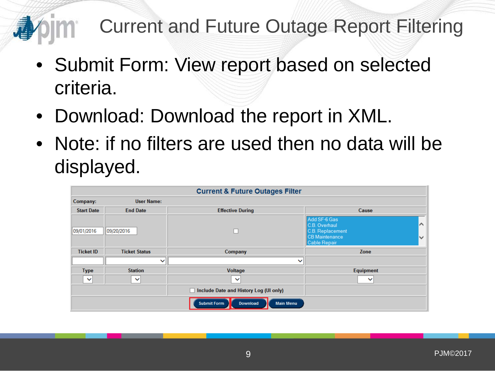- Submit Form: View report based on selected criteria.
- Download: Download the report in XML.
- Note: if no filters are used then no data will be displayed.

| <b>Current &amp; Future Outages Filter</b>                |                      |                                        |                                                                                                                         |  |  |  |  |  |
|-----------------------------------------------------------|----------------------|----------------------------------------|-------------------------------------------------------------------------------------------------------------------------|--|--|--|--|--|
| Company:                                                  | <b>User Name:</b>    |                                        |                                                                                                                         |  |  |  |  |  |
| <b>Start Date</b>                                         | <b>End Date</b>      | <b>Effective During</b>                | Cause                                                                                                                   |  |  |  |  |  |
| 09/01/2016                                                | 09/20/2016           |                                        | Add SF-6 Gas<br>$\triangleright$<br>C.B. Overhaul<br>C.B. Replacement<br>CB Maintenance<br>$\checkmark$<br>Cable Repair |  |  |  |  |  |
| <b>Ticket ID</b>                                          | <b>Ticket Status</b> | Company                                | Zone                                                                                                                    |  |  |  |  |  |
|                                                           | $\checkmark$         | ◡                                      |                                                                                                                         |  |  |  |  |  |
| <b>Type</b>                                               | <b>Station</b>       | <b>Voltage</b>                         | Equipment                                                                                                               |  |  |  |  |  |
| $\checkmark$                                              | $\checkmark$         | $\checkmark$                           | $\checkmark$                                                                                                            |  |  |  |  |  |
|                                                           |                      | Include Date and History Log (UI only) |                                                                                                                         |  |  |  |  |  |
| <b>Submit Form</b><br><b>Main Menu</b><br><b>Download</b> |                      |                                        |                                                                                                                         |  |  |  |  |  |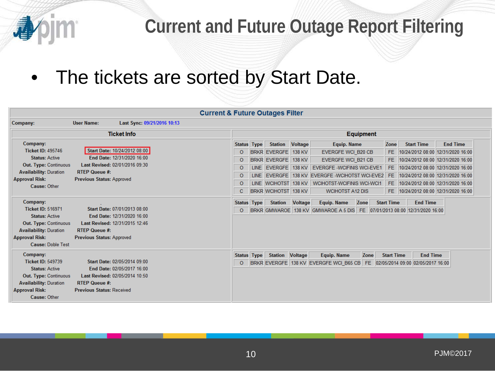

#### • The tickets are sorted by Start Date.

| <b>Current &amp; Future Outages Filter</b>                                                                                                                                          |                                                          |                                                                                              |                                                                                 |      |                                                                                                                                                        |                            |                                                                                                                                                                                                                   |                                         |                                                                                                                                                                       |                                                                                              |
|-------------------------------------------------------------------------------------------------------------------------------------------------------------------------------------|----------------------------------------------------------|----------------------------------------------------------------------------------------------|---------------------------------------------------------------------------------|------|--------------------------------------------------------------------------------------------------------------------------------------------------------|----------------------------|-------------------------------------------------------------------------------------------------------------------------------------------------------------------------------------------------------------------|-----------------------------------------|-----------------------------------------------------------------------------------------------------------------------------------------------------------------------|----------------------------------------------------------------------------------------------|
| Company:                                                                                                                                                                            | <b>User Name:</b>                                        | Last Sync: 09/21/2016 10:13                                                                  |                                                                                 |      |                                                                                                                                                        |                            |                                                                                                                                                                                                                   |                                         |                                                                                                                                                                       |                                                                                              |
|                                                                                                                                                                                     |                                                          | <b>Ticket Info</b>                                                                           | <b>Equipment</b>                                                                |      |                                                                                                                                                        |                            |                                                                                                                                                                                                                   |                                         |                                                                                                                                                                       |                                                                                              |
| Company:<br>Ticket ID: 495746<br><b>Status: Active</b><br><b>Out. Type: Continuous</b><br><b>Availability: Duration</b><br><b>Approval Risk:</b><br>Cause: Other                    | <b>RTEP Queue #:</b><br><b>Previous Status: Approved</b> | Start Date: 10/24/2012 08:00<br>End Date: 12/31/2020 16:00<br>Last Revised: 02/01/2016 09:30 | <b>Status Type</b><br>$\circ$<br>$\circ$<br>$\circ$<br>$\circ$<br>$\circ$<br>C. | LINE | <b>Station Voltage</b><br><b>BRKR EVERGFE</b><br><b>BRKR EVERGFE</b><br>LINE EVERGFE<br><b>EVERGFE</b><br>LINE WCIHOTST 138 KV<br>BRKR WCIHOTST 138 KV | 138 KV<br>138 KV<br>138 KV | <b>Equip. Name</b><br>EVERGFE WCI B20 CB<br><b>EVERGFE WCI B21 CB</b><br><b>EVERGFE - WCIFINIS WCI-EVE1</b><br>138 KV EVERGFE - WCIHOTST WCI-EVE2<br><b>WCIHOTST-WCIFINIS WCI-WCI1</b><br><b>WCIHOTST A12 DIS</b> | Zone<br>FE.<br>FE.<br>FE.<br>FE.<br>FE. | <b>Start Time</b><br>10/24/2012 08:00 12/31/2020 16:00<br>10/24/2012 08:00 12/31/2020 16:00<br>10/24/2012 08:00 12/31/2020 16:00<br>10/24/2012 08:00 12/31/2020 16:00 | <b>End Time</b><br>10/24/2012 08:00 12/31/2020 16:00<br>FE 10/24/2012 08:00 12/31/2020 16:00 |
| Company:<br><b>Ticket ID: 516971</b><br><b>Status: Active</b><br><b>Out. Type: Continuous</b><br><b>Availability: Duration</b><br><b>Approval Risk:</b><br><b>Cause: Doble Test</b> | <b>RTEP Queue #:</b><br><b>Previous Status: Approved</b> | Start Date: 07/01/2013 08:00<br>End Date: 12/31/2020 16:00<br>Last Revised: 12/31/2015 12:46 | <b>Status Type</b><br>$\circ$                                                   |      | <b>Station</b>                                                                                                                                         | <b>Voltage</b>             | <b>Equip. Name</b><br>Zone<br>BRKR GMWAROE 138 KV GMWAROE A 5 DIS FE 07/01/2013 08:00 12/31/2020 16:00                                                                                                            | <b>Start Time</b>                       | <b>End Time</b>                                                                                                                                                       |                                                                                              |
| Company:<br><b>Ticket ID: 549739</b><br><b>Status: Active</b><br><b>Out. Type: Continuous</b><br><b>Availability: Duration</b><br><b>Approval Risk:</b><br>Cause: Other             | <b>RTEP Queue #:</b><br><b>Previous Status: Received</b> | Start Date: 02/05/2014 09:00<br>End Date: 02/05/2017 16:00<br>Last Revised: 02/05/2014 10:50 | <b>Status Type</b><br>$\circ$                                                   |      | <b>Station Voltage</b>                                                                                                                                 |                            | <b>Equip. Name</b><br>Zone<br>BRKR EVERGFE 138 KV EVERGFE WCI B65 CB                                                                                                                                              | <b>Start Time</b>                       | <b>End Time</b><br>FE 02/05/2014 09:00 02/05/2017 16:00                                                                                                               |                                                                                              |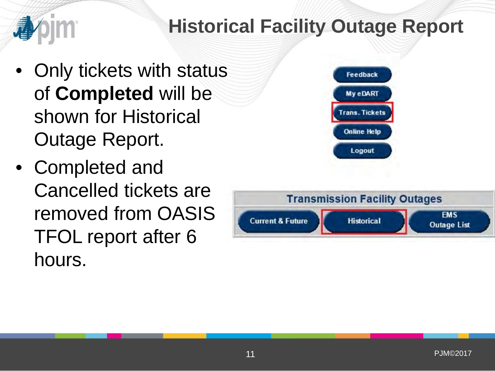

- Only tickets with status of **Completed** will be shown for Historical Outage Report.
- Completed and Cancelled tickets are removed from OASIS TFOL report after 6 hours.



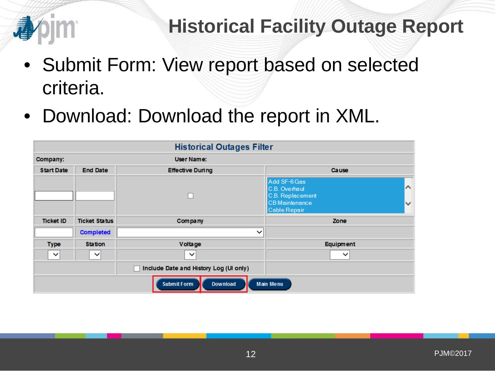

#### **Historical Facility Outage Report**

- Submit Form: View report based on selected criteria.
- Download: Download the report in XML.

| <b>Historical Outages Filter</b>                          |                      |                                        |                                                                                                                 |  |  |  |  |  |
|-----------------------------------------------------------|----------------------|----------------------------------------|-----------------------------------------------------------------------------------------------------------------|--|--|--|--|--|
| Company:                                                  |                      | User Name:                             |                                                                                                                 |  |  |  |  |  |
| <b>Start Date</b>                                         | <b>End Date</b>      | <b>Effective During</b>                | <b>Cause</b>                                                                                                    |  |  |  |  |  |
|                                                           |                      | П                                      | Add SF-6 Gas<br>∧<br>C.B. Overhaul<br>C.B. Replacement<br><b>CB</b> Maintenance<br>$\checkmark$<br>Cable Repair |  |  |  |  |  |
| <b>Ticket ID</b>                                          | <b>Ticket Status</b> | Company                                | Zone                                                                                                            |  |  |  |  |  |
|                                                           | <b>Completed</b>     | $\checkmark$                           |                                                                                                                 |  |  |  |  |  |
| <b>Type</b>                                               | <b>Station</b>       | Voltage                                | Equipment                                                                                                       |  |  |  |  |  |
| $\checkmark$                                              | $\checkmark$         | $\checkmark$                           | $\checkmark$                                                                                                    |  |  |  |  |  |
|                                                           |                      | Include Date and History Log (UI only) |                                                                                                                 |  |  |  |  |  |
| <b>Submit Form</b><br><b>Main Menu</b><br><b>Download</b> |                      |                                        |                                                                                                                 |  |  |  |  |  |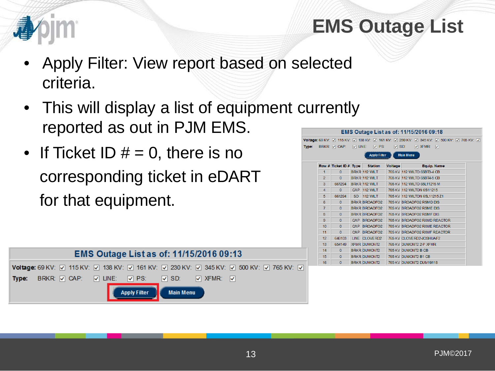

### **EMS Outage List**

- Apply Filter: View report based on selected criteria.
- This will display a list of equipment currently reported as out in PJM EMS.
- If Ticket ID  $# = 0$ , there is no corresponding ticket in eDART for that equipment.



| <b>EMS Outage List as of: 11/15/2016 09:18</b> |                        |               |                      |                     |                                                                                                       |  |  |  |
|------------------------------------------------|------------------------|---------------|----------------------|---------------------|-------------------------------------------------------------------------------------------------------|--|--|--|
|                                                |                        |               |                      |                     | oltage: 69 KV: [v] 115 KV: [v] 138 KV: [v] 161 KV: [v] 230 KV: [v] 345 KV: [v] 500 KV: [v] 765 KV: [v |  |  |  |
| vpe:                                           | BRKR: V CAP:           | <b>V UNE:</b> | $\nabla$ PS:         | $\triangledown$ SD: | $\nabla$ XFMR:<br><b>V</b>                                                                            |  |  |  |
|                                                |                        |               | <b>Apply Filter</b>  |                     | <b>Main Menu</b>                                                                                      |  |  |  |
|                                                |                        |               |                      |                     |                                                                                                       |  |  |  |
|                                                | Row # Ticket ID # Type |               | <b>Station</b>       | <b>Voltage</b>      | <b>Equip. Name</b>                                                                                    |  |  |  |
| 1                                              | $\Omega$               |               | <b>BRKR 112 WILT</b> |                     | 765 KV 112 WILTO 65BT3-4 CB                                                                           |  |  |  |
| $\overline{2}$                                 | $\mathbf{0}$           |               | BRKR 112 WILT        |                     | 765 KV 112 WILTO 65BT4-5 CB                                                                           |  |  |  |
| 3                                              | 661294                 |               | BRKR 112 WILT        |                     | 765 KV 112 WILTO 65L11215 M                                                                           |  |  |  |
| $\overline{4}$                                 | $\Omega$               |               | CAP 112 WILT         |                     | 765 KV 112 WILTON 65 11215                                                                            |  |  |  |
| 5                                              | 661294                 | <b>SD</b>     | <b>112 WILT</b>      |                     | 765 KV 112 WILTON 65L11215 Z1                                                                         |  |  |  |
| 6                                              | $\Omega$               |               | <b>BRKR BROADFO2</b> |                     | 765 KV BROADFO2 RSMD DIS                                                                              |  |  |  |
| $\overline{7}$                                 | $\Omega$               |               | <b>BRKR BROADFO2</b> |                     | 765 KV BROADFO2 RSME DIS                                                                              |  |  |  |
| 8                                              | $\mathbf{0}$           |               | <b>BRKR BROADFO2</b> |                     | 765 KV BROADFO2 RSMF DIS                                                                              |  |  |  |
| 9                                              | $\Omega$               |               | CAP BROADFO2         |                     | 765 KV BROADFO2 RXMD REACTOR                                                                          |  |  |  |
| 10                                             | $\Omega$               | CAP           | BROADFO <sub>2</sub> |                     | 765 KV BROADFO2 RXMF REACTOR                                                                          |  |  |  |
| 11                                             | $\Omega$               | CAP           | <b>BROADFO2</b>      |                     | 765 KV BROADFO2 RXMF REACTOR                                                                          |  |  |  |
| 12                                             | 646103                 |               | LINE CLOVERD2        |                     | 765 KV CLOVERD2-JOSHUAF2                                                                              |  |  |  |
| 13                                             | 654149                 |               | <b>XFMR DUMONT2</b>  |                     | 765 KV DUMONT2 2-P XEMR                                                                               |  |  |  |
| 14                                             | $\Omega$               |               | <b>BRKR DUMONT2</b>  |                     | 765 KV DUMONT2 B CB                                                                                   |  |  |  |
| 15                                             | $\mathbf{0}$           |               | <b>BRKR DUMONT2</b>  |                     | 765 KV DUMONT2 B1 CB                                                                                  |  |  |  |
| 16                                             | $\Omega$               |               | <b>BRKR DUMONT2</b>  |                     | 765 KV DUMONT2 DUM19118                                                                               |  |  |  |
|                                                |                        |               |                      |                     |                                                                                                       |  |  |  |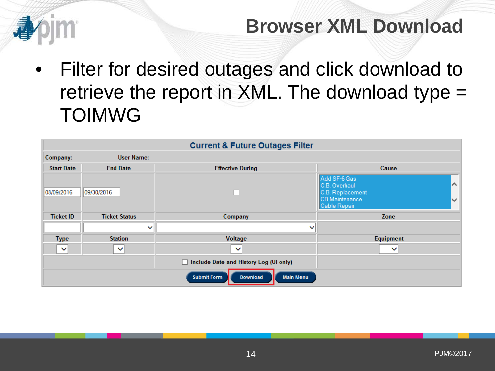

#### **Browser XML Download**

• Filter for desired outages and click download to retrieve the report in XML. The download type = TOIMWG

| <b>Current &amp; Future Outages Filter</b>         |                      |                                             |                                                                                                               |  |  |  |  |  |
|----------------------------------------------------|----------------------|---------------------------------------------|---------------------------------------------------------------------------------------------------------------|--|--|--|--|--|
| Company:                                           | <b>User Name:</b>    |                                             |                                                                                                               |  |  |  |  |  |
| <b>Start Date</b>                                  | <b>End Date</b>      | <b>Effective During</b>                     | Cause                                                                                                         |  |  |  |  |  |
| 08/09/2016                                         | 09/30/2016           | Г                                           | Add SF-6 Gas<br>$\sim$<br>C.B. Overhaul<br>C.B. Replacement<br>CB Maintenance<br>$\checkmark$<br>Cable Repair |  |  |  |  |  |
| <b>Ticket ID</b>                                   | <b>Ticket Status</b> | Company                                     | Zone                                                                                                          |  |  |  |  |  |
|                                                    | $\checkmark$         | $\checkmark$                                |                                                                                                               |  |  |  |  |  |
| <b>Type</b>                                        | <b>Station</b>       | Voltage                                     | <b>Equipment</b>                                                                                              |  |  |  |  |  |
| $\checkmark$                                       | $\checkmark$         | $\checkmark$                                | $\checkmark$                                                                                                  |  |  |  |  |  |
|                                                    |                      | Include Date and History Log (UI only)<br>П |                                                                                                               |  |  |  |  |  |
| <b>Submit Form</b><br>Download<br><b>Main Menu</b> |                      |                                             |                                                                                                               |  |  |  |  |  |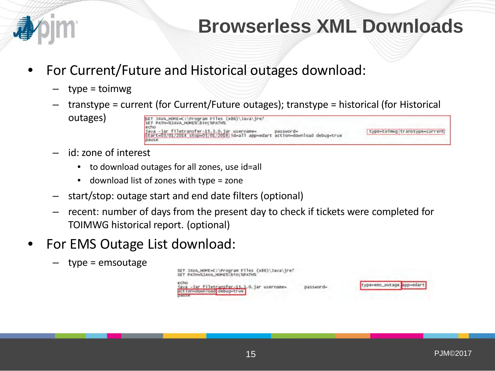

#### **Browserless XML Downloads**

- For Current/Future and Historical outages download:
	- type = toimwg
	- transtype = current (for Current/Future outages); transtype = historical (for Historical outages) SET JAVA\_HOME=C:\Program Files (x86)\Java\jre? SET PATH=%JAVA HOME%\bin:%PATH% echo

- id: zone of interest
	- to download outages for all zones, use id=all
	- download list of zones with type = zone
- start/stop: outage start and end date filters (optional)
- recent: number of days from the present day to check if tickets were completed for TOIMWG historical report. (optional)
- For EMS Outage List download:
	- type = emsoutage

SET JAVA\_HOME=C:\Program Files (x86)\Java\jre7 SET PATH=%JAVA\_HOME%\bin;%PATH% java -jar filetransfer-15.3.0. jar usernamepasswordaction=download debug=true



type=toimwg transtype=current